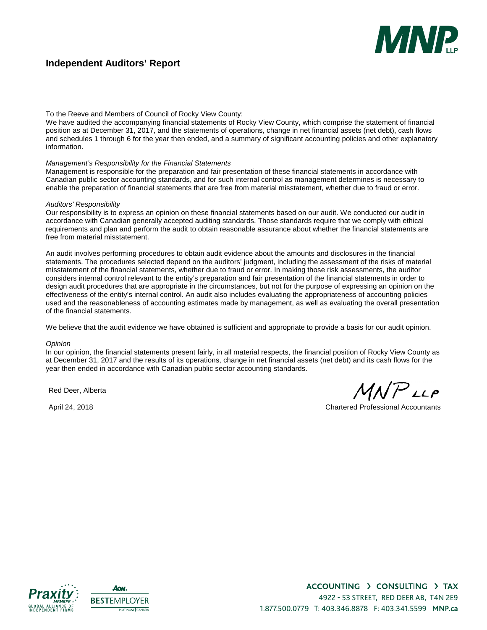### **Independent Auditors' Report**



#### To the Reeve and Members of Council of Rocky View County:

We have audited the accompanying financial statements of Rocky View County, which comprise the statement of financial position as at December 31, 2017, and the statements of operations, change in net financial assets (net debt), cash flows and schedules 1 through 6 for the year then ended, and a summary of significant accounting policies and other explanatory information.

#### *Management's Responsibility for the Financial Statements*

Management is responsible for the preparation and fair presentation of these financial statements in accordance with Canadian public sector accounting standards, and for such internal control as management determines is necessary to enable the preparation of financial statements that are free from material misstatement, whether due to fraud or error.

#### *Auditors' Responsibility*

Our responsibility is to express an opinion on these financial statements based on our audit. We conducted our audit in accordance with Canadian generally accepted auditing standards. Those standards require that we comply with ethical requirements and plan and perform the audit to obtain reasonable assurance about whether the financial statements are free from material misstatement.

An audit involves performing procedures to obtain audit evidence about the amounts and disclosures in the financial statements. The procedures selected depend on the auditors' judgment, including the assessment of the risks of material misstatement of the financial statements, whether due to fraud or error. In making those risk assessments, the auditor considers internal control relevant to the entity's preparation and fair presentation of the financial statements in order to design audit procedures that are appropriate in the circumstances, but not for the purpose of expressing an opinion on the effectiveness of the entity's internal control. An audit also includes evaluating the appropriateness of accounting policies used and the reasonableness of accounting estimates made by management, as well as evaluating the overall presentation of the financial statements.

We believe that the audit evidence we have obtained is sufficient and appropriate to provide a basis for our audit opinion.

#### *Opinion*

In our opinion, the financial statements present fairly, in all material respects, the financial position of Rocky View County as at December 31, 2017 and the results of its operations, change in net financial assets (net debt) and its cash flows for the year then ended in accordance with Canadian public sector accounting standards.

Red Deer, Alberta

 $M$  $\Lambda$  $P$ <sub> $LL$  $P$ </sub>

April 24, 2018 Chartered Professional Accountants



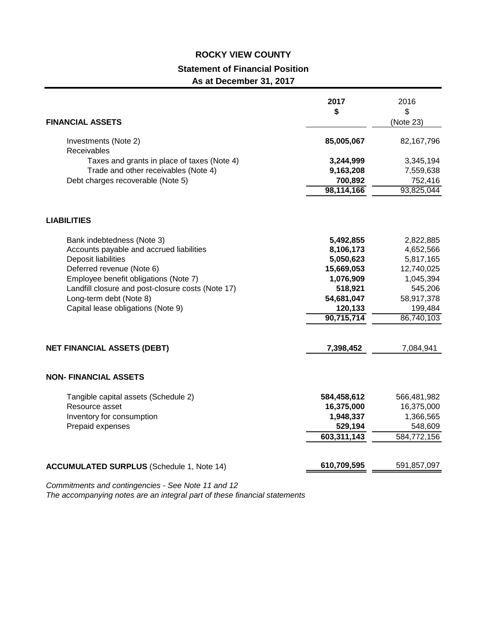### **ROCKY VIEW COUNTY Statement of Financial Position As at December 31, 2017**

| <b>FINANCIAL ASSETS</b>                                            | 2017<br>\$           | 2016<br>\$<br>(Note 23) |
|--------------------------------------------------------------------|----------------------|-------------------------|
| Investments (Note 2)<br>Receivables                                | 85,005,067           | 82,167,796              |
| Taxes and grants in place of taxes (Note 4)                        | 3,244,999            | 3,345,194               |
| Trade and other receivables (Note 4)                               | 9,163,208            | 7,559,638               |
| Debt charges recoverable (Note 5)                                  | 700,892              | 752,416                 |
|                                                                    | 98,114,166           | 93,825,044              |
| <b>LIABILITIES</b>                                                 |                      |                         |
| Bank indebtedness (Note 3)                                         | 5,492,855            | 2,822,885               |
| Accounts payable and accrued liabilities                           | 8,106,173            | 4,652,566               |
| <b>Deposit liabilities</b>                                         | 5,050,623            | 5,817,165               |
| Deferred revenue (Note 6)<br>Employee benefit obligations (Note 7) | 15,669,053           | 12,740,025              |
| Landfill closure and post-closure costs (Note 17)                  | 1,076,909<br>518,921 | 1,045,394<br>545,206    |
| Long-term debt (Note 8)                                            | 54,681,047           | 58,917,378              |
| Capital lease obligations (Note 9)                                 | 120,133              | 199,484                 |
|                                                                    | 90,715,714           | 86,740,103              |
| <b>NET FINANCIAL ASSETS (DEBT)</b>                                 | 7,398,452            | 7,084,941               |
| <b>NON- FINANCIAL ASSETS</b>                                       |                      |                         |
| Tangible capital assets (Schedule 2)                               | 584,458,612          | 566,481,982             |
| Resource asset                                                     | 16,375,000           | 16,375,000              |
| Inventory for consumption                                          | 1,948,337            | 1,366,565               |
| Prepaid expenses                                                   | 529,194              | 548,609                 |
|                                                                    | 603,311,143          | 584,772,156             |
| <b>ACCUMULATED SURPLUS (Schedule 1, Note 14)</b>                   | 610,709,595          | 591,857,097             |

*Commitments and contingencies - See Note 11 and 12 The accompanying notes are an integral part of these financial statements*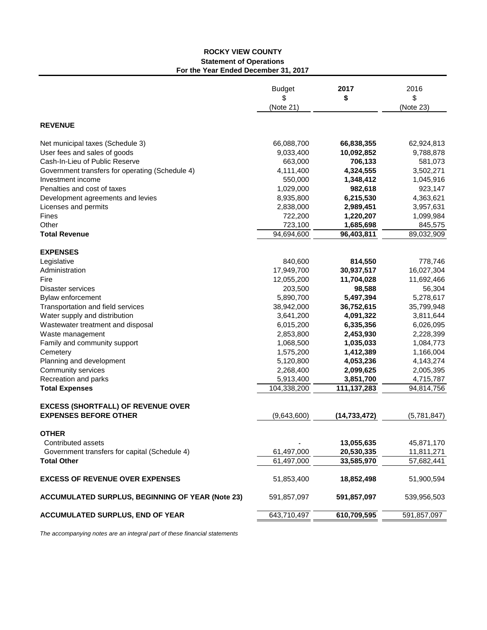#### **ROCKY VIEW COUNTY Statement of Operations For the Year Ended December 31, 2017**

|                                                         | <b>Budget</b>   | 2017           | 2016            |
|---------------------------------------------------------|-----------------|----------------|-----------------|
|                                                         | \$<br>(Note 21) | \$             | \$<br>(Note 23) |
| <b>REVENUE</b>                                          |                 |                |                 |
| Net municipal taxes (Schedule 3)                        | 66,088,700      | 66,838,355     | 62,924,813      |
| User fees and sales of goods                            | 9,033,400       | 10,092,852     | 9,788,878       |
| Cash-In-Lieu of Public Reserve                          | 663,000         | 706,133        | 581,073         |
| Government transfers for operating (Schedule 4)         | 4,111,400       | 4,324,555      | 3,502,271       |
| Investment income                                       | 550,000         | 1,348,412      | 1,045,916       |
| Penalties and cost of taxes                             | 1,029,000       | 982,618        | 923,147         |
| Development agreements and levies                       | 8,935,800       | 6,215,530      | 4,363,621       |
| Licenses and permits                                    | 2,838,000       | 2,989,451      | 3,957,631       |
| Fines                                                   | 722,200         | 1,220,207      | 1,099,984       |
| Other                                                   | 723,100         | 1,685,698      | 845,575         |
| <b>Total Revenue</b>                                    | 94,694,600      | 96,403,811     | 89,032,909      |
| <b>EXPENSES</b>                                         |                 |                |                 |
| Legislative                                             | 840,600         | 814,550        | 778,746         |
| Administration                                          | 17,949,700      | 30,937,517     | 16,027,304      |
| Fire                                                    | 12,055,200      | 11,704,028     | 11,692,466      |
| <b>Disaster services</b>                                | 203,500         | 98,588         | 56,304          |
| Bylaw enforcement                                       | 5,890,700       | 5,497,394      | 5,278,617       |
| Transportation and field services                       | 38,942,000      | 36,752,615     | 35,799,948      |
| Water supply and distribution                           | 3,641,200       | 4,091,322      | 3,811,644       |
| Wastewater treatment and disposal                       | 6,015,200       | 6,335,356      | 6,026,095       |
| Waste management                                        | 2,853,800       | 2,453,930      | 2,228,399       |
| Family and community support                            | 1,068,500       | 1,035,033      | 1,084,773       |
| Cemetery                                                | 1,575,200       | 1,412,389      | 1,166,004       |
| Planning and development                                | 5,120,800       | 4,053,236      | 4,143,274       |
| Community services                                      | 2,268,400       | 2,099,625      | 2,005,395       |
| Recreation and parks                                    | 5,913,400       | 3,851,700      | 4,715,787       |
| <b>Total Expenses</b>                                   | 104,338,200     | 111, 137, 283  | 94,814,756      |
| <b>EXCESS (SHORTFALL) OF REVENUE OVER</b>               |                 |                |                 |
| <b>EXPENSES BEFORE OTHER</b>                            | (9,643,600)     | (14, 733, 472) | (5,781,847)     |
| <b>OTHER</b>                                            |                 |                |                 |
| Contributed assets                                      |                 | 13,055,635     | 45,871,170      |
| Government transfers for capital (Schedule 4)           | 61,497,000      | 20,530,335     | 11,811,271      |
| <b>Total Other</b>                                      | 61,497,000      | 33,585,970     | 57,682,441      |
| <b>EXCESS OF REVENUE OVER EXPENSES</b>                  | 51,853,400      | 18,852,498     | 51,900,594      |
| <b>ACCUMULATED SURPLUS, BEGINNING OF YEAR (Note 23)</b> | 591,857,097     | 591,857,097    | 539,956,503     |
| <b>ACCUMULATED SURPLUS, END OF YEAR</b>                 | 643,710,497     | 610,709,595    | 591,857,097     |
|                                                         |                 |                |                 |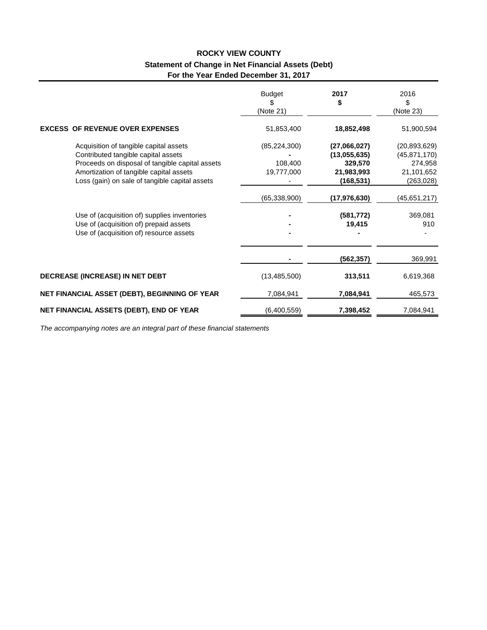### **ROCKY VIEW COUNTY Statement of Change in Net Financial Assets (Debt) For the Year Ended December 31, 2017**

|                                                                                                                                                                                                                               | <b>Budget</b><br>\$<br>(Note 21)        | 2017<br>\$                                                          | 2016<br>\$<br>(Note 23)                                                 |
|-------------------------------------------------------------------------------------------------------------------------------------------------------------------------------------------------------------------------------|-----------------------------------------|---------------------------------------------------------------------|-------------------------------------------------------------------------|
| <b>EXCESS OF REVENUE OVER EXPENSES</b>                                                                                                                                                                                        | 51,853,400                              | 18,852,498                                                          | 51,900,594                                                              |
| Acquisition of tangible capital assets<br>Contributed tangible capital assets<br>Proceeds on disposal of tangible capital assets<br>Amortization of tangible capital assets<br>Loss (gain) on sale of tangible capital assets | (85, 224, 300)<br>108,400<br>19,777,000 | (27,066,027)<br>(13,055,635)<br>329,570<br>21,983,993<br>(168, 531) | (20, 893, 629)<br>(45, 871, 170)<br>274,958<br>21,101,652<br>(263, 028) |
|                                                                                                                                                                                                                               | (65, 338, 900)                          | (17, 976, 630)                                                      | (45,651,217)                                                            |
| Use of (acquisition of) supplies inventories<br>Use of (acquisition of) prepaid assets<br>Use of (acquisition of) resource assets                                                                                             |                                         | (581, 772)<br>19,415                                                | 369,081<br>910                                                          |
|                                                                                                                                                                                                                               |                                         | (562,357)                                                           | 369,991                                                                 |
| DECREASE (INCREASE) IN NET DEBT                                                                                                                                                                                               | (13, 485, 500)                          | 313,511                                                             | 6,619,368                                                               |
| NET FINANCIAL ASSET (DEBT), BEGINNING OF YEAR                                                                                                                                                                                 | 7,084,941                               | 7,084,941                                                           | 465,573                                                                 |
| NET FINANCIAL ASSETS (DEBT), END OF YEAR                                                                                                                                                                                      | (6,400,559)                             | 7,398,452                                                           | 7,084,941                                                               |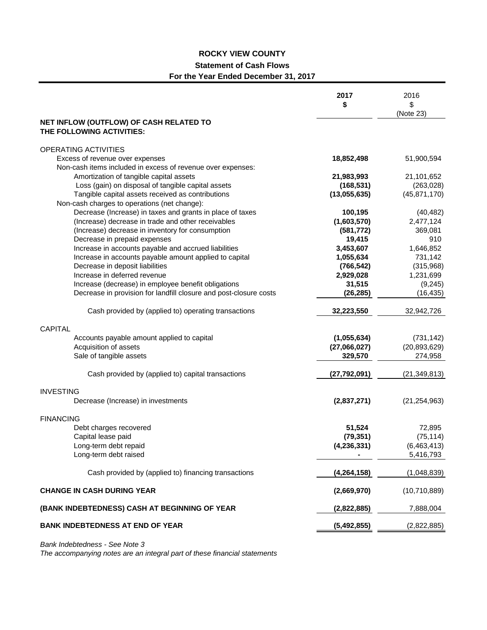### **ROCKY VIEW COUNTY Statement of Cash Flows For the Year Ended December 31, 2017**

|                                                                      | 2017<br>\$     | 2016<br>\$<br>(Note 23) |
|----------------------------------------------------------------------|----------------|-------------------------|
| NET INFLOW (OUTFLOW) OF CASH RELATED TO<br>THE FOLLOWING ACTIVITIES: |                |                         |
| OPERATING ACTIVITIES                                                 |                |                         |
| Excess of revenue over expenses                                      | 18,852,498     | 51,900,594              |
| Non-cash items included in excess of revenue over expenses:          |                |                         |
| Amortization of tangible capital assets                              | 21,983,993     | 21,101,652              |
| Loss (gain) on disposal of tangible capital assets                   | (168, 531)     | (263, 028)              |
| Tangible capital assets received as contributions                    | (13,055,635)   | (45, 871, 170)          |
| Non-cash charges to operations (net change):                         |                |                         |
| Decrease (Increase) in taxes and grants in place of taxes            | 100,195        | (40, 482)               |
| (Increase) decrease in trade and other receivables                   | (1,603,570)    | 2,477,124               |
| (Increase) decrease in inventory for consumption                     | (581, 772)     | 369,081                 |
| Decrease in prepaid expenses                                         | 19,415         | 910                     |
| Increase in accounts payable and accrued liabilities                 | 3,453,607      | 1,646,852               |
| Increase in accounts payable amount applied to capital               | 1,055,634      | 731,142                 |
| Decrease in deposit liabilities                                      | (766, 542)     | (315,968)               |
| Increase in deferred revenue                                         | 2,929,028      | 1,231,699               |
| Increase (decrease) in employee benefit obligations                  | 31,515         | (9,245)                 |
| Decrease in provision for landfill closure and post-closure costs    | (26, 285)      | (16, 435)               |
| Cash provided by (applied to) operating transactions                 | 32,223,550     | 32,942,726              |
| <b>CAPITAL</b>                                                       |                |                         |
| Accounts payable amount applied to capital                           | (1,055,634)    | (731, 142)              |
| Acquisition of assets                                                | (27,066,027)   | (20, 893, 629)          |
| Sale of tangible assets                                              | 329,570        | 274,958                 |
|                                                                      |                |                         |
| Cash provided by (applied to) capital transactions                   | (27, 792, 091) | (21, 349, 813)          |
| <b>INVESTING</b>                                                     |                |                         |
| Decrease (Increase) in investments                                   | (2,837,271)    | (21, 254, 963)          |
| <b>FINANCING</b>                                                     |                |                         |
| Debt charges recovered                                               | 51,524         | 72,895                  |
| Capital lease paid                                                   | (79, 351)      | (75, 114)               |
| Long-term debt repaid                                                | (4, 236, 331)  | (6,463,413)             |
| Long-term debt raised                                                |                | 5,416,793               |
| Cash provided by (applied to) financing transactions                 | (4, 264, 158)  | (1,048,839)             |
| <b>CHANGE IN CASH DURING YEAR</b>                                    | (2,669,970)    | (10, 710, 889)          |
| (BANK INDEBTEDNESS) CASH AT BEGINNING OF YEAR                        | (2,822,885)    | 7,888,004               |
| <b>BANK INDEBTEDNESS AT END OF YEAR</b>                              | (5,492,855)    | (2,822,885)             |

*Bank Indebtedness - See Note 3*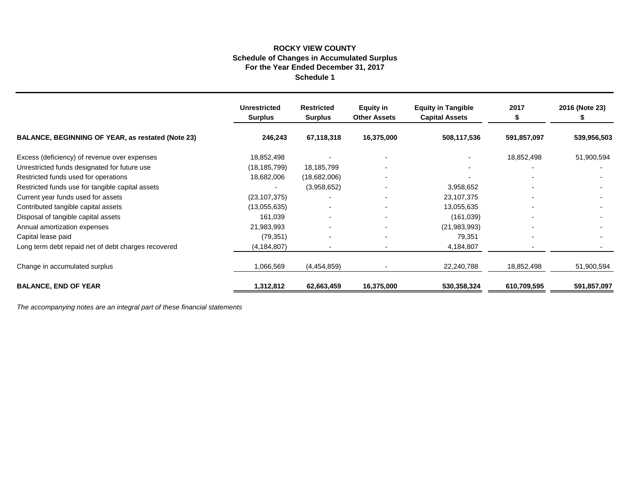### **Schedule 1 Schedule of Changes in Accumulated Surplus For the Year Ended December 31, 2017 ROCKY VIEW COUNTY**

|                                                          | <b>Unrestricted</b><br><b>Surplus</b> | <b>Restricted</b><br><b>Surplus</b> | <b>Equity in</b><br><b>Other Assets</b> | <b>Equity in Tangible</b><br><b>Capital Assets</b> | 2017        | 2016 (Note 23) |
|----------------------------------------------------------|---------------------------------------|-------------------------------------|-----------------------------------------|----------------------------------------------------|-------------|----------------|
| <b>BALANCE, BEGINNING OF YEAR, as restated (Note 23)</b> | 246,243                               | 67,118,318                          | 16,375,000                              | 508,117,536                                        | 591,857,097 | 539,956,503    |
| Excess (deficiency) of revenue over expenses             | 18,852,498                            |                                     | $\overline{\phantom{0}}$                |                                                    | 18,852,498  | 51,900,594     |
| Unrestricted funds designated for future use             | (18, 185, 799)                        | 18,185,799                          |                                         |                                                    |             |                |
| Restricted funds used for operations                     | 18,682,006                            | (18,682,006)                        |                                         |                                                    |             |                |
| Restricted funds use for tangible capital assets         | $\overline{\phantom{a}}$              | (3,958,652)                         |                                         | 3,958,652                                          |             |                |
| Current year funds used for assets                       | (23, 107, 375)                        |                                     |                                         | 23,107,375                                         |             |                |
| Contributed tangible capital assets                      | (13,055,635)                          |                                     |                                         | 13,055,635                                         |             |                |
| Disposal of tangible capital assets                      | 161,039                               |                                     |                                         | (161, 039)                                         |             |                |
| Annual amortization expenses                             | 21,983,993                            |                                     |                                         | (21, 983, 993)                                     |             |                |
| Capital lease paid                                       | (79, 351)                             |                                     |                                         | 79,351                                             |             |                |
| Long term debt repaid net of debt charges recovered      | (4, 184, 807)                         |                                     |                                         | 4,184,807                                          |             |                |
| Change in accumulated surplus                            | 1,066,569                             | (4,454,859)                         |                                         | 22,240,788                                         | 18,852,498  | 51,900,594     |
| <b>BALANCE, END OF YEAR</b>                              | 1,312,812                             | 62,663,459                          | 16,375,000                              | 530,358,324                                        | 610,709,595 | 591,857,097    |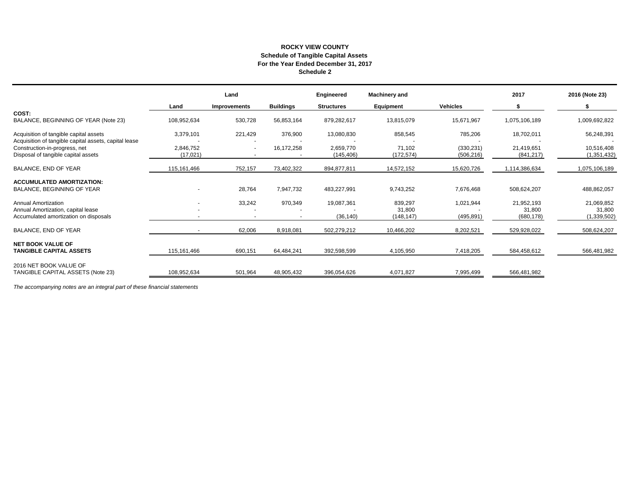#### **ROCKY VIEW COUNTY Schedule of Tangible Capital Assets For the Year Ended December 31, 2017 Schedule 2**

|                                                                                                 |                        | Land         |                  | Engineered              | <b>Machinery and</b> |                          | 2017                     | 2016 (Note 23)            |
|-------------------------------------------------------------------------------------------------|------------------------|--------------|------------------|-------------------------|----------------------|--------------------------|--------------------------|---------------------------|
|                                                                                                 | Land                   | Improvements | <b>Buildings</b> | <b>Structures</b>       | Equipment            | <b>Vehicles</b>          | S                        |                           |
| COST:<br>BALANCE, BEGINNING OF YEAR (Note 23)                                                   | 108,952,634            | 530,728      | 56,853,164       | 879,282,617             | 13,815,079           | 15,671,967               | 1,075,106,189            | 1,009,692,822             |
| Acquisition of tangible capital assets<br>Acquisition of tangible capital assets, capital lease | 3,379,101              | 221,429      | 376,900          | 13,080,830              | 858,545              | 785,206                  | 18,702,011               | 56,248,391                |
| Construction-in-progress, net<br>Disposal of tangible capital assets                            | 2,846,752<br>(17, 021) |              | 16,172,258       | 2,659,770<br>(145, 406) | 71,102<br>(172, 574) | (330, 231)<br>(506, 216) | 21,419,651<br>(841, 217) | 10,516,408<br>(1,351,432) |
| BALANCE, END OF YEAR                                                                            | 115,161,466            | 752,157      | 73,402,322       | 894,877,811             | 14,572,152           | 15,620,726               | 1,114,386,634            | 1,075,106,189             |
| <b>ACCUMULATED AMORTIZATION:</b><br>BALANCE, BEGINNING OF YEAR                                  |                        | 28,764       | 7,947,732        | 483,227,991             | 9,743,252            | 7,676,468                | 508,624,207              | 488,862,057               |
| Annual Amortization<br>Annual Amortization, capital lease                                       |                        | 33,242       | 970,349          | 19,087,361              | 839,297<br>31,800    | 1,021,944                | 21,952,193<br>31,800     | 21,069,852<br>31,800      |
| Accumulated amortization on disposals                                                           |                        |              |                  | (36, 140)               | (148, 147)           | (495, 891)               | (680, 178)               | (1,339,502)               |
| BALANCE, END OF YEAR                                                                            |                        | 62,006       | 8,918,081        | 502,279,212             | 10,466,202           | 8,202,521                | 529,928,022              | 508,624,207               |
| <b>NET BOOK VALUE OF</b><br><b>TANGIBLE CAPITAL ASSETS</b>                                      | 115,161,466            | 690,151      | 64,484,241       | 392,598,599             | 4,105,950            | 7,418,205                | 584,458,612              | 566,481,982               |
| 2016 NET BOOK VALUE OF<br>TANGIBLE CAPITAL ASSETS (Note 23)                                     | 108,952,634            | 501,964      | 48,905,432       | 396,054,626             | 4,071,827            | 7,995,499                | 566,481,982              |                           |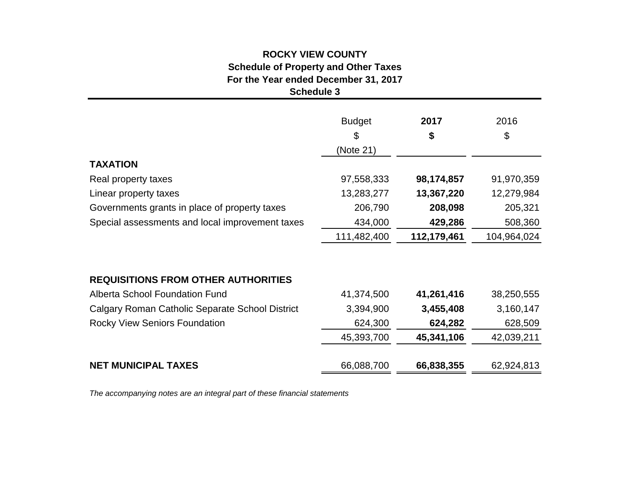### **Schedule 3 ROCKY VIEW COUNTY Schedule of Property and Other Taxes For the Year ended December 31, 2017**

|                                                 | <b>Budget</b> | 2017        | 2016        |
|-------------------------------------------------|---------------|-------------|-------------|
|                                                 | \$            | \$          | \$          |
|                                                 | (Note 21)     |             |             |
| <b>TAXATION</b>                                 |               |             |             |
| Real property taxes                             | 97,558,333    | 98,174,857  | 91,970,359  |
| Linear property taxes                           | 13,283,277    | 13,367,220  | 12,279,984  |
| Governments grants in place of property taxes   | 206,790       | 208,098     | 205,321     |
| Special assessments and local improvement taxes | 434,000       | 429,286     | 508,360     |
|                                                 | 111,482,400   | 112,179,461 | 104,964,024 |
| <b>REQUISITIONS FROM OTHER AUTHORITIES</b>      |               |             |             |
| Alberta School Foundation Fund                  | 41,374,500    | 41,261,416  | 38,250,555  |
| Calgary Roman Catholic Separate School District | 3,394,900     | 3,455,408   | 3,160,147   |
| <b>Rocky View Seniors Foundation</b>            | 624,300       | 624,282     | 628,509     |
|                                                 | 45,393,700    | 45,341,106  | 42,039,211  |
| <b>NET MUNICIPAL TAXES</b>                      | 66,088,700    | 66,838,355  | 62,924,813  |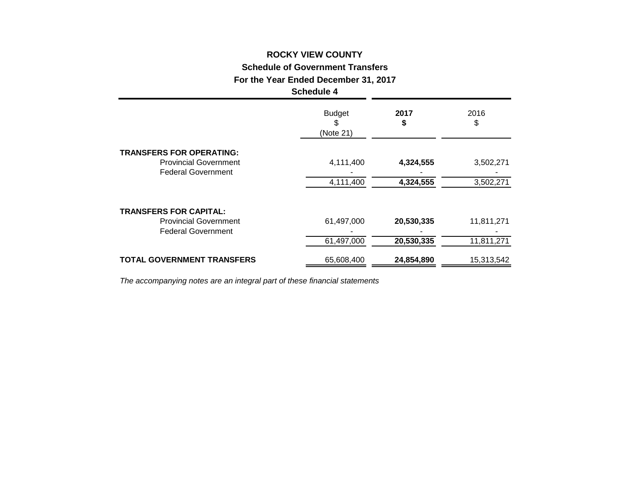### **ROCKY VIEW COUNTY**

**Schedule of Government Transfers**

**For the Year Ended December 31, 2017**

|                                                                                              | <b>Schedule 4</b>               |                          |                          |
|----------------------------------------------------------------------------------------------|---------------------------------|--------------------------|--------------------------|
|                                                                                              | <b>Budget</b><br>S<br>(Note 21) | 2017<br>\$               | 2016<br>\$               |
| <b>TRANSFERS FOR OPERATING:</b><br><b>Provincial Government</b><br><b>Federal Government</b> | 4,111,400<br>4,111,400          | 4,324,555<br>4,324,555   | 3,502,271<br>3,502,271   |
| <b>TRANSFERS FOR CAPITAL:</b><br><b>Provincial Government</b><br><b>Federal Government</b>   | 61,497,000<br>61,497,000        | 20,530,335<br>20,530,335 | 11,811,271<br>11,811,271 |
| TOTAL GOVERNMENT TRANSFERS                                                                   | 65,608,400                      | 24,854,890               | 15,313,542               |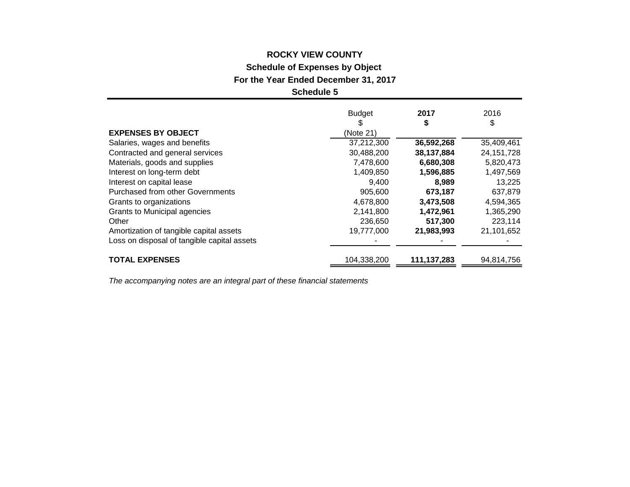### **ROCKY VIEW COUNTY Schedule of Expenses by Object**

**For the Year Ended December 31, 2017**

### **Schedule 5**

|                                             | <b>Budget</b><br>S | 2017          | 2016<br>\$   |
|---------------------------------------------|--------------------|---------------|--------------|
| <b>EXPENSES BY OBJECT</b>                   | (Note 21)          |               |              |
| Salaries, wages and benefits                | 37,212,300         | 36,592,268    | 35,409,461   |
| Contracted and general services             | 30,488,200         | 38,137,884    | 24, 151, 728 |
| Materials, goods and supplies               | 7,478,600          | 6,680,308     | 5,820,473    |
| Interest on long-term debt                  | 1,409,850          | 1,596,885     | 1,497,569    |
| Interest on capital lease                   | 9.400              | 8.989         | 13,225       |
| Purchased from other Governments            | 905,600            | 673,187       | 637,879      |
| Grants to organizations                     | 4,678,800          | 3,473,508     | 4,594,365    |
| Grants to Municipal agencies                | 2,141,800          | 1,472,961     | 1,365,290    |
| Other                                       | 236,650            | 517,300       | 223,114      |
| Amortization of tangible capital assets     | 19.777.000         | 21,983,993    | 21,101,652   |
| Loss on disposal of tangible capital assets |                    |               |              |
| <b>TOTAL EXPENSES</b>                       | 104,338,200        | 111, 137, 283 | 94,814,756   |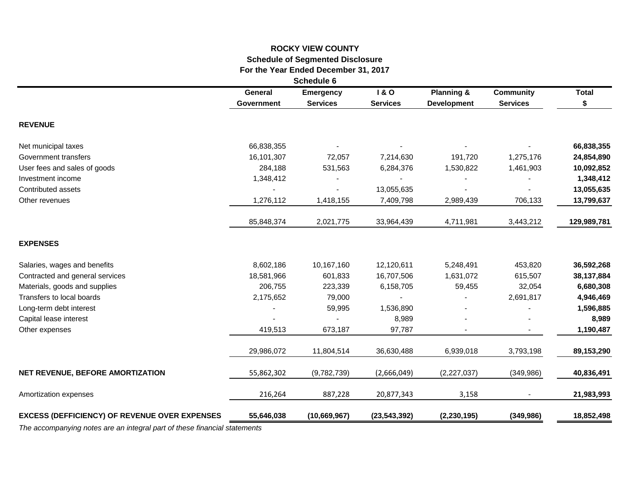### **ROCKY VIEW COUNTY Schedule of Segmented Disclosure For the Year Ended December 31, 2017**

 $\overline{\phantom{0}}$ 

|                                                      |                                     | Schedule 6                          |                                   |                                             |                                     |                    |
|------------------------------------------------------|-------------------------------------|-------------------------------------|-----------------------------------|---------------------------------------------|-------------------------------------|--------------------|
|                                                      | <b>General</b><br><b>Government</b> | <b>Emergency</b><br><b>Services</b> | <b>1&amp;O</b><br><b>Services</b> | <b>Planning &amp;</b><br><b>Development</b> | <b>Community</b><br><b>Services</b> | <b>Total</b><br>\$ |
| <b>REVENUE</b>                                       |                                     |                                     |                                   |                                             |                                     |                    |
| Net municipal taxes                                  | 66,838,355                          |                                     |                                   |                                             |                                     | 66,838,355         |
| Government transfers                                 | 16,101,307                          | 72,057                              | 7,214,630                         | 191,720                                     | 1,275,176                           | 24,854,890         |
| User fees and sales of goods                         | 284,188                             | 531,563                             | 6,284,376                         | 1,530,822                                   | 1,461,903                           | 10,092,852         |
| Investment income                                    | 1,348,412                           |                                     |                                   |                                             |                                     | 1,348,412          |
| Contributed assets                                   |                                     |                                     | 13,055,635                        |                                             |                                     | 13,055,635         |
| Other revenues                                       | 1,276,112                           | 1,418,155                           | 7,409,798                         | 2,989,439                                   | 706,133                             | 13,799,637         |
|                                                      | 85,848,374                          | 2,021,775                           | 33,964,439                        | 4,711,981                                   | 3,443,212                           | 129,989,781        |
| <b>EXPENSES</b>                                      |                                     |                                     |                                   |                                             |                                     |                    |
| Salaries, wages and benefits                         | 8,602,186                           | 10,167,160                          | 12,120,611                        | 5,248,491                                   | 453,820                             | 36,592,268         |
| Contracted and general services                      | 18,581,966                          | 601,833                             | 16,707,506                        | 1,631,072                                   | 615,507                             | 38,137,884         |
| Materials, goods and supplies                        | 206,755                             | 223,339                             | 6,158,705                         | 59,455                                      | 32,054                              | 6,680,308          |
| Transfers to local boards                            | 2,175,652                           | 79,000                              |                                   |                                             | 2,691,817                           | 4,946,469          |
| Long-term debt interest                              |                                     | 59,995                              | 1,536,890                         |                                             |                                     | 1,596,885          |
| Capital lease interest                               |                                     |                                     | 8,989                             |                                             |                                     | 8,989              |
| Other expenses                                       | 419,513                             | 673,187                             | 97,787                            |                                             |                                     | 1,190,487          |
|                                                      | 29,986,072                          | 11,804,514                          | 36,630,488                        | 6,939,018                                   | 3,793,198                           | 89,153,290         |
| NET REVENUE, BEFORE AMORTIZATION                     | 55,862,302                          | (9,782,739)                         | (2,666,049)                       | (2,227,037)                                 | (349, 986)                          | 40,836,491         |
| Amortization expenses                                | 216,264                             | 887,228                             | 20,877,343                        | 3,158                                       |                                     | 21,983,993         |
| <b>EXCESS (DEFFICIENCY) OF REVENUE OVER EXPENSES</b> | 55,646,038                          | (10,669,967)                        | (23, 543, 392)                    | (2, 230, 195)                               | (349, 986)                          | 18,852,498         |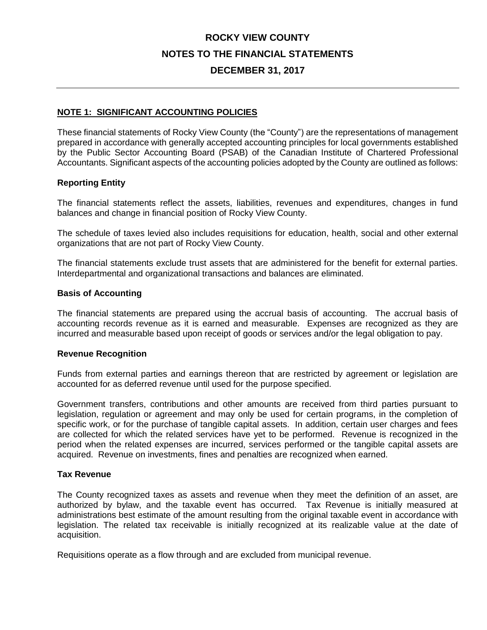### **NOTE 1: SIGNIFICANT ACCOUNTING POLICIES**

These financial statements of Rocky View County (the "County") are the representations of management prepared in accordance with generally accepted accounting principles for local governments established by the Public Sector Accounting Board (PSAB) of the Canadian Institute of Chartered Professional Accountants. Significant aspects of the accounting policies adopted by the County are outlined as follows:

### **Reporting Entity**

The financial statements reflect the assets, liabilities, revenues and expenditures, changes in fund balances and change in financial position of Rocky View County.

The schedule of taxes levied also includes requisitions for education, health, social and other external organizations that are not part of Rocky View County.

The financial statements exclude trust assets that are administered for the benefit for external parties. Interdepartmental and organizational transactions and balances are eliminated.

### **Basis of Accounting**

The financial statements are prepared using the accrual basis of accounting. The accrual basis of accounting records revenue as it is earned and measurable. Expenses are recognized as they are incurred and measurable based upon receipt of goods or services and/or the legal obligation to pay.

### **Revenue Recognition**

Funds from external parties and earnings thereon that are restricted by agreement or legislation are accounted for as deferred revenue until used for the purpose specified.

Government transfers, contributions and other amounts are received from third parties pursuant to legislation, regulation or agreement and may only be used for certain programs, in the completion of specific work, or for the purchase of tangible capital assets. In addition, certain user charges and fees are collected for which the related services have yet to be performed. Revenue is recognized in the period when the related expenses are incurred, services performed or the tangible capital assets are acquired. Revenue on investments, fines and penalties are recognized when earned.

### **Tax Revenue**

The County recognized taxes as assets and revenue when they meet the definition of an asset, are authorized by bylaw, and the taxable event has occurred. Tax Revenue is initially measured at administrations best estimate of the amount resulting from the original taxable event in accordance with legislation. The related tax receivable is initially recognized at its realizable value at the date of acquisition.

Requisitions operate as a flow through and are excluded from municipal revenue.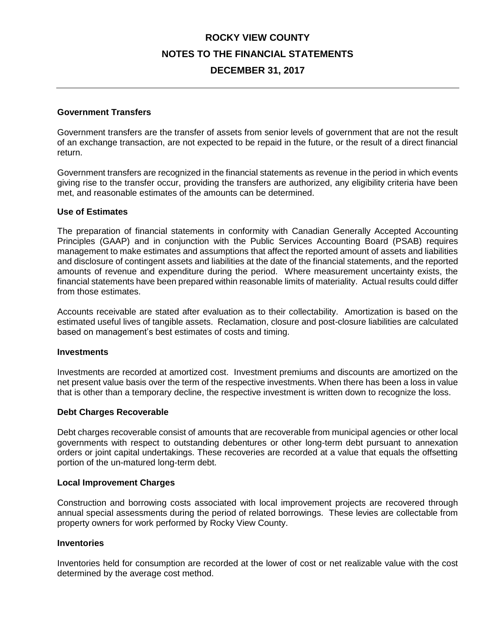### **Government Transfers**

Government transfers are the transfer of assets from senior levels of government that are not the result of an exchange transaction, are not expected to be repaid in the future, or the result of a direct financial return.

Government transfers are recognized in the financial statements as revenue in the period in which events giving rise to the transfer occur, providing the transfers are authorized, any eligibility criteria have been met, and reasonable estimates of the amounts can be determined.

### **Use of Estimates**

The preparation of financial statements in conformity with Canadian Generally Accepted Accounting Principles (GAAP) and in conjunction with the Public Services Accounting Board (PSAB) requires management to make estimates and assumptions that affect the reported amount of assets and liabilities and disclosure of contingent assets and liabilities at the date of the financial statements, and the reported amounts of revenue and expenditure during the period. Where measurement uncertainty exists, the financial statements have been prepared within reasonable limits of materiality. Actual results could differ from those estimates.

Accounts receivable are stated after evaluation as to their collectability. Amortization is based on the estimated useful lives of tangible assets. Reclamation, closure and post-closure liabilities are calculated based on management's best estimates of costs and timing.

### **Investments**

Investments are recorded at amortized cost. Investment premiums and discounts are amortized on the net present value basis over the term of the respective investments. When there has been a loss in value that is other than a temporary decline, the respective investment is written down to recognize the loss.

### **Debt Charges Recoverable**

Debt charges recoverable consist of amounts that are recoverable from municipal agencies or other local governments with respect to outstanding debentures or other long-term debt pursuant to annexation orders or joint capital undertakings. These recoveries are recorded at a value that equals the offsetting portion of the un-matured long-term debt.

### **Local Improvement Charges**

Construction and borrowing costs associated with local improvement projects are recovered through annual special assessments during the period of related borrowings. These levies are collectable from property owners for work performed by Rocky View County.

### **Inventories**

Inventories held for consumption are recorded at the lower of cost or net realizable value with the cost determined by the average cost method.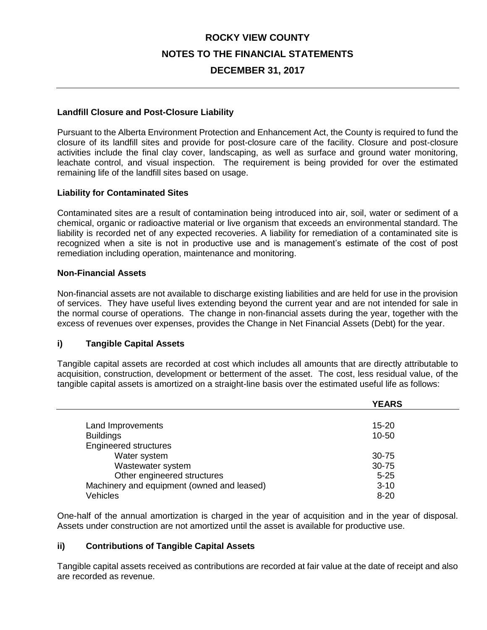### **Landfill Closure and Post-Closure Liability**

Pursuant to the Alberta Environment Protection and Enhancement Act, the County is required to fund the closure of its landfill sites and provide for post-closure care of the facility. Closure and post-closure activities include the final clay cover, landscaping, as well as surface and ground water monitoring, leachate control, and visual inspection. The requirement is being provided for over the estimated remaining life of the landfill sites based on usage.

### **Liability for Contaminated Sites**

Contaminated sites are a result of contamination being introduced into air, soil, water or sediment of a chemical, organic or radioactive material or live organism that exceeds an environmental standard. The liability is recorded net of any expected recoveries. A liability for remediation of a contaminated site is recognized when a site is not in productive use and is management's estimate of the cost of post remediation including operation, maintenance and monitoring.

### **Non-Financial Assets**

Non-financial assets are not available to discharge existing liabilities and are held for use in the provision of services. They have useful lives extending beyond the current year and are not intended for sale in the normal course of operations. The change in non-financial assets during the year, together with the excess of revenues over expenses, provides the Change in Net Financial Assets (Debt) for the year.

### **i) Tangible Capital Assets**

Tangible capital assets are recorded at cost which includes all amounts that are directly attributable to acquisition, construction, development or betterment of the asset. The cost, less residual value, of the tangible capital assets is amortized on a straight-line basis over the estimated useful life as follows:

|                                            | <b>YEARS</b> |  |
|--------------------------------------------|--------------|--|
|                                            |              |  |
| Land Improvements                          | $15 - 20$    |  |
| <b>Buildings</b>                           | 10-50        |  |
| <b>Engineered structures</b>               |              |  |
| Water system                               | $30 - 75$    |  |
| Wastewater system                          | $30 - 75$    |  |
| Other engineered structures                | $5 - 25$     |  |
| Machinery and equipment (owned and leased) | $3 - 10$     |  |
| Vehicles                                   | $8 - 20$     |  |

One-half of the annual amortization is charged in the year of acquisition and in the year of disposal. Assets under construction are not amortized until the asset is available for productive use.

### **ii) Contributions of Tangible Capital Assets**

Tangible capital assets received as contributions are recorded at fair value at the date of receipt and also are recorded as revenue.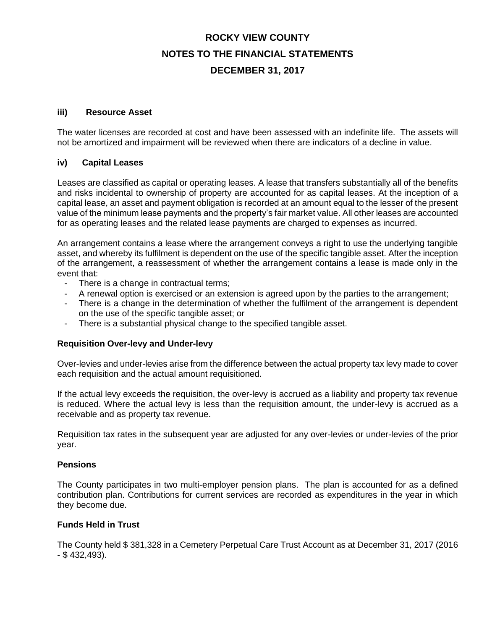### **iii) Resource Asset**

The water licenses are recorded at cost and have been assessed with an indefinite life. The assets will not be amortized and impairment will be reviewed when there are indicators of a decline in value.

### **iv) Capital Leases**

Leases are classified as capital or operating leases. A lease that transfers substantially all of the benefits and risks incidental to ownership of property are accounted for as capital leases. At the inception of a capital lease, an asset and payment obligation is recorded at an amount equal to the lesser of the present value of the minimum lease payments and the property's fair market value. All other leases are accounted for as operating leases and the related lease payments are charged to expenses as incurred.

An arrangement contains a lease where the arrangement conveys a right to use the underlying tangible asset, and whereby its fulfilment is dependent on the use of the specific tangible asset. After the inception of the arrangement, a reassessment of whether the arrangement contains a lease is made only in the event that:

- There is a change in contractual terms;
- A renewal option is exercised or an extension is agreed upon by the parties to the arrangement;
- There is a change in the determination of whether the fulfilment of the arrangement is dependent on the use of the specific tangible asset; or
- There is a substantial physical change to the specified tangible asset.

### **Requisition Over-levy and Under-levy**

Over-levies and under-levies arise from the difference between the actual property tax levy made to cover each requisition and the actual amount requisitioned.

If the actual levy exceeds the requisition, the over-levy is accrued as a liability and property tax revenue is reduced. Where the actual levy is less than the requisition amount, the under-levy is accrued as a receivable and as property tax revenue.

Requisition tax rates in the subsequent year are adjusted for any over-levies or under-levies of the prior year.

### **Pensions**

The County participates in two multi-employer pension plans. The plan is accounted for as a defined contribution plan. Contributions for current services are recorded as expenditures in the year in which they become due.

### **Funds Held in Trust**

The County held \$ 381,328 in a Cemetery Perpetual Care Trust Account as at December 31, 2017 (2016 - \$ 432,493).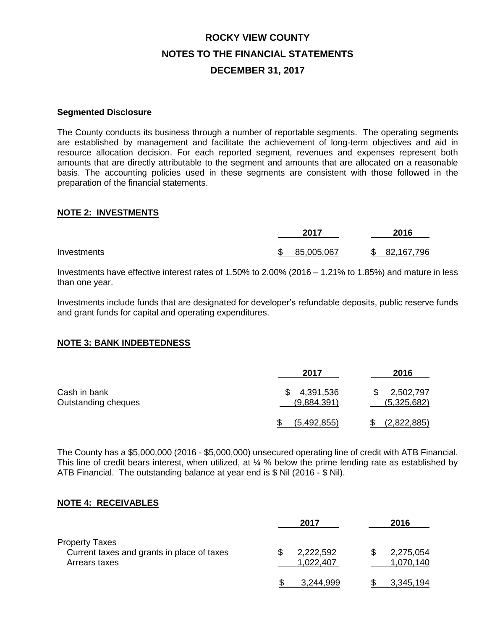#### **Segmented Disclosure**

The County conducts its business through a number of reportable segments. The operating segments are established by management and facilitate the achievement of long-term objectives and aid in resource allocation decision. For each reported segment, revenues and expenses represent both amounts that are directly attributable to the segment and amounts that are allocated on a reasonable basis. The accounting policies used in these segments are consistent with those followed in the preparation of the financial statements.

### **NOTE 2: INVESTMENTS**

|             | 2017       | 2016              |  |  |
|-------------|------------|-------------------|--|--|
| Investments | 85 005 067 | 82.167.796<br>\$. |  |  |

Investments have effective interest rates of 1.50% to 2.00% (2016 – 1.21% to 1.85%) and mature in less than one year.

Investments include funds that are designated for developer's refundable deposits, public reserve funds and grant funds for capital and operating expenditures.

### **NOTE 3: BANK INDEBTEDNESS**

|                                     | 2017                     | 2016                     |
|-------------------------------------|--------------------------|--------------------------|
| Cash in bank<br>Outstanding cheques | 4,391,536<br>(9,884,391) | 2,502,797<br>(5,325,682) |
|                                     | (5,492,855)              | (2,822,885)              |

The County has a \$5,000,000 (2016 - \$5,000,000) unsecured operating line of credit with ATB Financial. This line of credit bears interest, when utilized, at  $\frac{1}{4}$  % below the prime lending rate as established by ATB Financial. The outstanding balance at year end is \$ Nil (2016 - \$ Nil).

### **NOTE 4: RECEIVABLES**

|                                            | 2017      | 2016      |
|--------------------------------------------|-----------|-----------|
| <b>Property Taxes</b>                      |           |           |
| Current taxes and grants in place of taxes | 2,222,592 | 2,275,054 |
| Arrears taxes                              | 1,022,407 | 1,070,140 |
|                                            | 3.244.999 | 3,345,194 |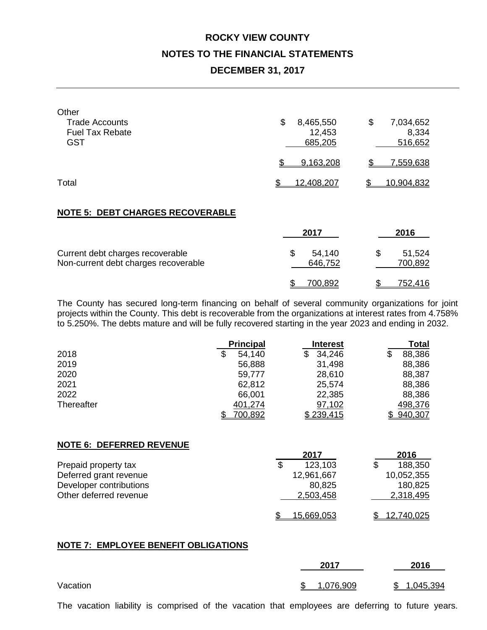# **ROCKY VIEW COUNTY NOTES TO THE FINANCIAL STATEMENTS**

### **DECEMBER 31, 2017**

| Other<br><b>Trade Accounts</b><br><b>Fuel Tax Rebate</b><br><b>GST</b> | 8,465,550<br>\$<br>12,453<br>685,205 | 7,034,652<br>\$<br>8,334<br>516,652 |
|------------------------------------------------------------------------|--------------------------------------|-------------------------------------|
|                                                                        | 9,163,208                            | <u>7,559,638</u>                    |
| Total                                                                  | 12,408,207                           | 10,904,832                          |
|                                                                        |                                      |                                     |

### **NOTE 5: DEBT CHARGES RECOVERABLE**

|                                                                          | 2017              | 2016              |
|--------------------------------------------------------------------------|-------------------|-------------------|
| Current debt charges recoverable<br>Non-current debt charges recoverable | 54.140<br>646,752 | 51,524<br>700,892 |
|                                                                          | 700.892           | 752,416           |

The County has secured long-term financing on behalf of several community organizations for joint projects within the County. This debt is recoverable from the organizations at interest rates from 4.758% to 5.250%. The debts mature and will be fully recovered starting in the year 2023 and ending in 2032.

|                                                                                                              | <b>Principal</b> | <b>Interest</b>                                           | <u>Total</u>                                   |
|--------------------------------------------------------------------------------------------------------------|------------------|-----------------------------------------------------------|------------------------------------------------|
| 2018                                                                                                         | \$<br>54,140     | \$<br>34,246                                              | \$<br>88,386                                   |
| 2019                                                                                                         | 56,888           | 31,498                                                    | 88,386                                         |
| 2020                                                                                                         | 59,777           | 28,610                                                    | 88,387                                         |
| 2021                                                                                                         | 62,812           | 25,574                                                    | 88,386                                         |
| 2022                                                                                                         | 66,001           | 22,385                                                    | 88,386                                         |
| Thereafter                                                                                                   | 401,274          | 97,102                                                    | 498,376                                        |
|                                                                                                              | 700,892          | \$239,415                                                 | \$940,307                                      |
| <b>NOTE 6: DEFERRED REVENUE</b><br>Prepaid property tax<br>Deferred grant revenue<br>Developer contributions |                  | 2017<br>$\mathfrak{L}$<br>123,103<br>12,961,667<br>80,825 | 2016<br>\$<br>188,350<br>10,052,355<br>180,825 |
| Other deferred revenue                                                                                       |                  | 2,503,458                                                 | 2,318,495                                      |
|                                                                                                              |                  | 5.669.053                                                 | 12.740.025                                     |

### **NOTE 7: EMPLOYEE BENEFIT OBLIGATIONS**

|          | 2017         | 2016        |
|----------|--------------|-------------|
| Vacation | \$ 1,076,909 | \$1,045,394 |

The vacation liability is comprised of the vacation that employees are deferring to future years.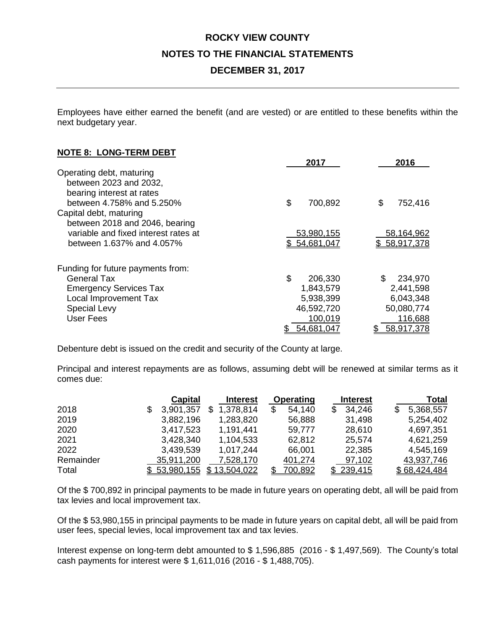Employees have either earned the benefit (and are vested) or are entitled to these benefits within the next budgetary year.

### **NOTE 8: LONG-TERM DEBT**

|                                      | 2017          |     | 2016         |
|--------------------------------------|---------------|-----|--------------|
| Operating debt, maturing             |               |     |              |
| between 2023 and 2032,               |               |     |              |
| bearing interest at rates            |               |     |              |
| between 4.758% and 5.250%            | \$<br>700,892 | \$  | 752,416      |
| Capital debt, maturing               |               |     |              |
| between 2018 and 2046, bearing       |               |     |              |
| variable and fixed interest rates at | 53,980,155    |     | 58,164,962   |
| between 1.637% and 4.057%            | \$54,681,047  |     | \$58,917,378 |
| Funding for future payments from:    |               |     |              |
| <b>General Tax</b>                   | \$<br>206,330 | \$. | 234,970      |
| <b>Emergency Services Tax</b>        | 1,843,579     |     | 2,441,598    |
| <b>Local Improvement Tax</b>         | 5,938,399     |     | 6,043,348    |
| <b>Special Levy</b>                  | 46,592,720    |     | 50,080,774   |
| <b>User Fees</b>                     | 100,019       |     | 116,688      |
|                                      | 54,681,047    |     | 58,917,378   |

Debenture debt is issued on the credit and security of the County at large.

Principal and interest repayments are as follows, assuming debt will be renewed at similar terms as it comes due:

|           | <b>Capital</b>      | <b>Interest</b> | Operating | <b>Interest</b> | Total        |
|-----------|---------------------|-----------------|-----------|-----------------|--------------|
| 2018      | 3,901,357           | 1,378,814       | 54,140    | 34,246          | 5,368,557    |
| 2019      | 3,882,196           | 1,283,820       | 56,888    | 31,498          | 5,254,402    |
| 2020      | 3,417,523           | 1,191,441       | 59,777    | 28,610          | 4,697,351    |
| 2021      | 3,428,340           | 1,104,533       | 62,812    | 25,574          | 4,621,259    |
| 2022      | 3,439,539           | 1,017,244       | 66,001    | 22,385          | 4,545,169    |
| Remainder | 35,911,200          | 7,528,170       | 401,274   | 97,102          | 43,937,746   |
| Total     | <u>\$53,980,155</u> | \$13,504,022    | 700,892   | \$239,415       | \$68,424,484 |

Of the \$ 700,892 in principal payments to be made in future years on operating debt, all will be paid from tax levies and local improvement tax.

Of the \$ 53,980,155 in principal payments to be made in future years on capital debt, all will be paid from user fees, special levies, local improvement tax and tax levies.

Interest expense on long-term debt amounted to \$ 1,596,885 (2016 - \$ 1,497,569). The County's total cash payments for interest were \$ 1,611,016 (2016 - \$ 1,488,705).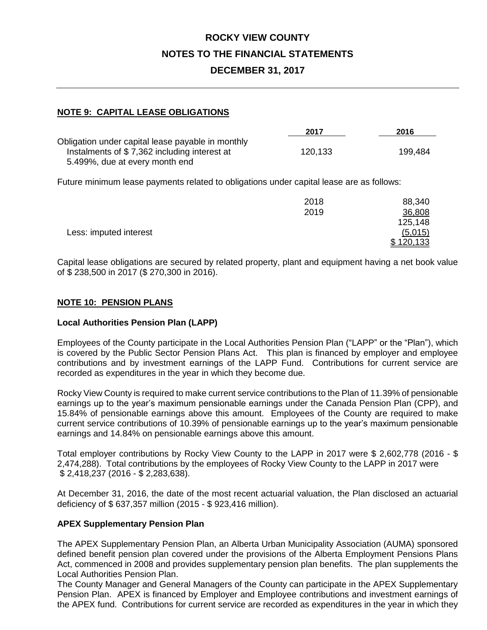# **ROCKY VIEW COUNTY NOTES TO THE FINANCIAL STATEMENTS**

### **DECEMBER 31, 2017**

### **NOTE 9: CAPITAL LEASE OBLIGATIONS**

|                                                   | 2017    | 2016    |
|---------------------------------------------------|---------|---------|
| Obligation under capital lease payable in monthly |         |         |
| Instalments of \$7,362 including interest at      | 120.133 | 199.484 |
| 5.499%, due at every month end                    |         |         |

Future minimum lease payments related to obligations under capital lease are as follows:

|                        | 2018 | 88,340    |
|------------------------|------|-----------|
|                        | 2019 | 36,808    |
|                        |      | 125,148   |
| Less: imputed interest |      | (5,015)   |
|                        |      | \$120,133 |

Capital lease obligations are secured by related property, plant and equipment having a net book value of \$ 238,500 in 2017 (\$ 270,300 in 2016).

### **NOTE 10: PENSION PLANS**

### **Local Authorities Pension Plan (LAPP)**

Employees of the County participate in the Local Authorities Pension Plan ("LAPP" or the "Plan"), which is covered by the Public Sector Pension Plans Act. This plan is financed by employer and employee contributions and by investment earnings of the LAPP Fund. Contributions for current service are recorded as expenditures in the year in which they become due.

Rocky View County is required to make current service contributions to the Plan of 11.39% of pensionable earnings up to the year's maximum pensionable earnings under the Canada Pension Plan (CPP), and 15.84% of pensionable earnings above this amount. Employees of the County are required to make current service contributions of 10.39% of pensionable earnings up to the year's maximum pensionable earnings and 14.84% on pensionable earnings above this amount.

Total employer contributions by Rocky View County to the LAPP in 2017 were \$ 2,602,778 (2016 - \$ 2,474,288). Total contributions by the employees of Rocky View County to the LAPP in 2017 were \$ 2,418,237 (2016 - \$ 2,283,638).

At December 31, 2016, the date of the most recent actuarial valuation, the Plan disclosed an actuarial deficiency of \$ 637,357 million (2015 - \$ 923,416 million).

### **APEX Supplementary Pension Plan**

The APEX Supplementary Pension Plan, an Alberta Urban Municipality Association (AUMA) sponsored defined benefit pension plan covered under the provisions of the Alberta Employment Pensions Plans Act, commenced in 2008 and provides supplementary pension plan benefits. The plan supplements the Local Authorities Pension Plan.

The County Manager and General Managers of the County can participate in the APEX Supplementary Pension Plan. APEX is financed by Employer and Employee contributions and investment earnings of the APEX fund. Contributions for current service are recorded as expenditures in the year in which they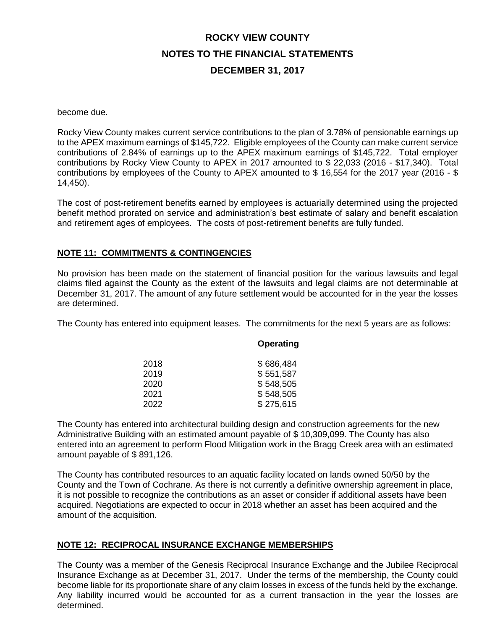become due.

Rocky View County makes current service contributions to the plan of 3.78% of pensionable earnings up to the APEX maximum earnings of \$145,722. Eligible employees of the County can make current service contributions of 2.84% of earnings up to the APEX maximum earnings of \$145,722. Total employer contributions by Rocky View County to APEX in 2017 amounted to \$ 22,033 (2016 - \$17,340). Total contributions by employees of the County to APEX amounted to \$ 16,554 for the 2017 year (2016 - \$ 14,450).

The cost of post-retirement benefits earned by employees is actuarially determined using the projected benefit method prorated on service and administration's best estimate of salary and benefit escalation and retirement ages of employees. The costs of post-retirement benefits are fully funded.

### **NOTE 11: COMMITMENTS & CONTINGENCIES**

No provision has been made on the statement of financial position for the various lawsuits and legal claims filed against the County as the extent of the lawsuits and legal claims are not determinable at December 31, 2017. The amount of any future settlement would be accounted for in the year the losses are determined.

The County has entered into equipment leases. The commitments for the next 5 years are as follows:

**Operating**

| 2018 | \$686,484 |
|------|-----------|
| 2019 | \$551,587 |
| 2020 | \$548,505 |
| 2021 | \$548,505 |
| 2022 | \$275,615 |

The County has entered into architectural building design and construction agreements for the new Administrative Building with an estimated amount payable of \$ 10,309,099. The County has also entered into an agreement to perform Flood Mitigation work in the Bragg Creek area with an estimated amount payable of \$ 891,126.

The County has contributed resources to an aquatic facility located on lands owned 50/50 by the County and the Town of Cochrane. As there is not currently a definitive ownership agreement in place, it is not possible to recognize the contributions as an asset or consider if additional assets have been acquired. Negotiations are expected to occur in 2018 whether an asset has been acquired and the amount of the acquisition.

### **NOTE 12: RECIPROCAL INSURANCE EXCHANGE MEMBERSHIPS**

The County was a member of the Genesis Reciprocal Insurance Exchange and the Jubilee Reciprocal Insurance Exchange as at December 31, 2017. Under the terms of the membership, the County could become liable for its proportionate share of any claim losses in excess of the funds held by the exchange. Any liability incurred would be accounted for as a current transaction in the year the losses are determined.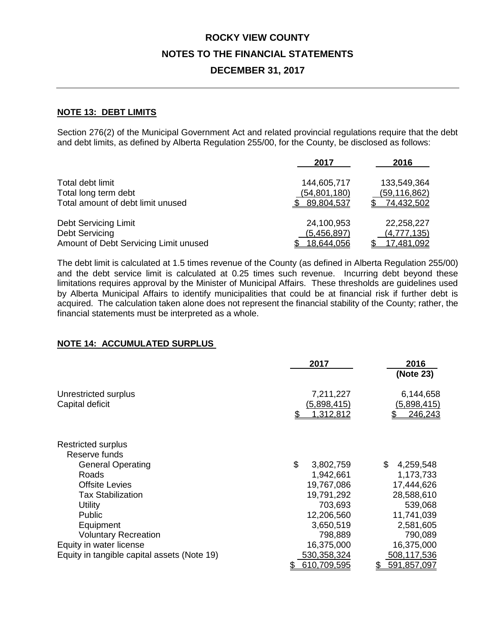### **NOTE 13: DEBT LIMITS**

Section 276(2) of the Municipal Government Act and related provincial regulations require that the debt and debt limits, as defined by Alberta Regulation 255/00, for the County, be disclosed as follows:

|                                       | 2017         | 2016              |
|---------------------------------------|--------------|-------------------|
| Total debt limit                      | 144,605,717  | 133,549,364       |
| Total long term debt                  | (54,801,180) | (59,116,862)      |
| Total amount of debt limit unused     | 89,804,537   | 74,432,502        |
| <b>Debt Servicing Limit</b>           | 24,100,953   | 22,258,227        |
| <b>Debt Servicing</b>                 | (5,456,897)  | (4,777,135)       |
| Amount of Debt Servicing Limit unused | 18,644,056   | <u>17,481,092</u> |

The debt limit is calculated at 1.5 times revenue of the County (as defined in Alberta Regulation 255/00) and the debt service limit is calculated at 0.25 times such revenue. Incurring debt beyond these limitations requires approval by the Minister of Municipal Affairs. These thresholds are guidelines used by Alberta Municipal Affairs to identify municipalities that could be at financial risk if further debt is acquired. The calculation taken alone does not represent the financial stability of the County; rather, the financial statements must be interpreted as a whole.

### **NOTE 14: ACCUMULATED SURPLUS**

|                                             | 2017                                  | 2016<br>(Note 23)                   |  |
|---------------------------------------------|---------------------------------------|-------------------------------------|--|
| Unrestricted surplus<br>Capital deficit     | 7,211,227<br>(5,898,415)<br>1,312,812 | 6,144,658<br>(5,898,415)<br>246,243 |  |
| Restricted surplus<br>Reserve funds         |                                       |                                     |  |
| <b>General Operating</b>                    | \$<br>3,802,759                       | \$<br>4,259,548                     |  |
| Roads                                       | 1,942,661                             | 1,173,733                           |  |
| <b>Offsite Levies</b>                       | 19,767,086                            | 17,444,626                          |  |
| <b>Tax Stabilization</b>                    | 19,791,292                            | 28,588,610                          |  |
| Utility                                     | 703,693                               | 539,068                             |  |
| Public                                      | 12,206,560                            | 11,741,039                          |  |
| Equipment                                   | 3,650,519                             | 2,581,605                           |  |
| <b>Voluntary Recreation</b>                 | 798,889                               | 790,089                             |  |
| Equity in water license                     | 16,375,000                            | 16,375,000                          |  |
| Equity in tangible capital assets (Note 19) | 530,358,324                           | 508,117,536                         |  |
|                                             | 610,709,595<br>æ.                     | 591,857,097<br>\$                   |  |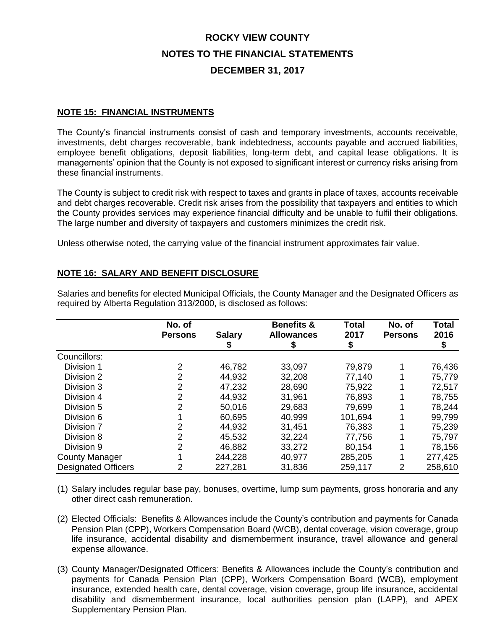### **NOTE 15: FINANCIAL INSTRUMENTS**

**NOTE 16: SALARY AND BENEFIT DISCLOSURE**

The County's financial instruments consist of cash and temporary investments, accounts receivable, investments, debt charges recoverable, bank indebtedness, accounts payable and accrued liabilities, employee benefit obligations, deposit liabilities, long-term debt, and capital lease obligations. It is managements' opinion that the County is not exposed to significant interest or currency risks arising from these financial instruments.

The County is subject to credit risk with respect to taxes and grants in place of taxes, accounts receivable and debt charges recoverable. Credit risk arises from the possibility that taxpayers and entities to which the County provides services may experience financial difficulty and be unable to fulfil their obligations. The large number and diversity of taxpayers and customers minimizes the credit risk.

Unless otherwise noted, the carrying value of the financial instrument approximates fair value.

|                            | No. of         |                     | <b>Benefits &amp;</b> | <b>Total</b> | No. of         | <b>Total</b> |
|----------------------------|----------------|---------------------|-----------------------|--------------|----------------|--------------|
|                            | <b>Persons</b> | <b>Salary</b><br>\$ | <b>Allowances</b>     | 2017<br>\$   | <b>Persons</b> | 2016<br>\$   |
| Councillors:               |                |                     |                       |              |                |              |
| Division 1                 | 2              | 46,782              | 33,097                | 79,879       | 1              | 76,436       |
| Division 2                 | 2              | 44,932              | 32,208                | 77,140       |                | 75,779       |
| Division 3                 | 2              | 47,232              | 28,690                | 75,922       |                | 72,517       |
| Division 4                 | 2              | 44,932              | 31,961                | 76,893       |                | 78,755       |
| Division 5                 | 2              | 50,016              | 29,683                | 79,699       |                | 78,244       |
| Division 6                 |                | 60,695              | 40,999                | 101,694      |                | 99,799       |
| Division 7                 | 2              | 44,932              | 31,451                | 76,383       |                | 75,239       |
| Division 8                 | 2              | 45,532              | 32,224                | 77,756       |                | 75,797       |
| Division 9                 | 2              | 46,882              | 33,272                | 80,154       | 1              | 78,156       |
| <b>County Manager</b>      |                | 244,228             | 40,977                | 285,205      |                | 277,425      |
| <b>Designated Officers</b> | 2              | 227,281             | 31,836                | 259,117      | 2              | 258,610      |

Salaries and benefits for elected Municipal Officials, the County Manager and the Designated Officers as required by Alberta Regulation 313/2000, is disclosed as follows:

(1) Salary includes regular base pay, bonuses, overtime, lump sum payments, gross honoraria and any other direct cash remuneration.

- (2) Elected Officials: Benefits & Allowances include the County's contribution and payments for Canada Pension Plan (CPP), Workers Compensation Board (WCB), dental coverage, vision coverage, group life insurance, accidental disability and dismemberment insurance, travel allowance and general expense allowance.
- (3) County Manager/Designated Officers: Benefits & Allowances include the County's contribution and payments for Canada Pension Plan (CPP), Workers Compensation Board (WCB), employment insurance, extended health care, dental coverage, vision coverage, group life insurance, accidental disability and dismemberment insurance, local authorities pension plan (LAPP), and APEX Supplementary Pension Plan.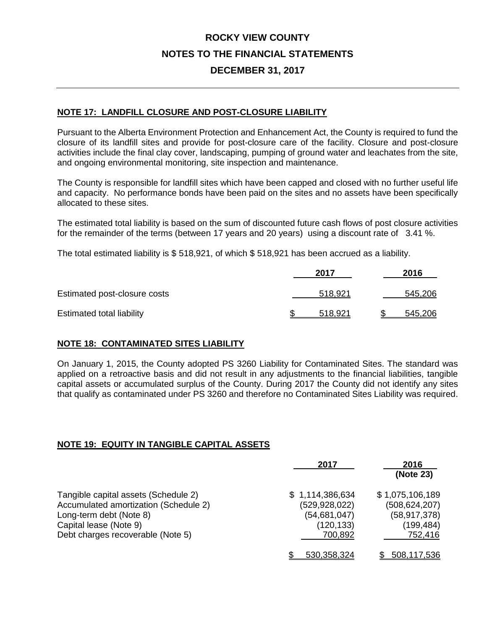### **NOTE 17: LANDFILL CLOSURE AND POST-CLOSURE LIABILITY**

Pursuant to the Alberta Environment Protection and Enhancement Act, the County is required to fund the closure of its landfill sites and provide for post-closure care of the facility. Closure and post-closure activities include the final clay cover, landscaping, pumping of ground water and leachates from the site, and ongoing environmental monitoring, site inspection and maintenance.

The County is responsible for landfill sites which have been capped and closed with no further useful life and capacity. No performance bonds have been paid on the sites and no assets have been specifically allocated to these sites.

The estimated total liability is based on the sum of discounted future cash flows of post closure activities for the remainder of the terms (between 17 years and 20 years) using a discount rate of 3.41 %.

The total estimated liability is \$ 518,921, of which \$ 518,921 has been accrued as a liability.

|                                  | 2017    | 2016    |
|----------------------------------|---------|---------|
| Estimated post-closure costs     | 518,921 | 545,206 |
| <b>Estimated total liability</b> | 518.921 | 545,206 |

### **NOTE 18: CONTAMINATED SITES LIABILITY**

On January 1, 2015, the County adopted PS 3260 Liability for Contaminated Sites. The standard was applied on a retroactive basis and did not result in any adjustments to the financial liabilities, tangible capital assets or accumulated surplus of the County. During 2017 the County did not identify any sites that qualify as contaminated under PS 3260 and therefore no Contaminated Sites Liability was required.

### **NOTE 19: EQUITY IN TANGIBLE CAPITAL ASSETS**

|                                       | 2017            | 2016<br>(Note 23)  |
|---------------------------------------|-----------------|--------------------|
| Tangible capital assets (Schedule 2)  | \$1,114,386,634 | \$1,075,106,189    |
| Accumulated amortization (Schedule 2) | (529, 928, 022) | (508, 624, 207)    |
| Long-term debt (Note 8)               | (54, 681, 047)  | (58, 917, 378)     |
| Capital lease (Note 9)                | (120, 133)      | (199, 484)         |
| Debt charges recoverable (Note 5)     | 700,892         | 752,416            |
|                                       | 530,358,324     | <u>508,117,536</u> |